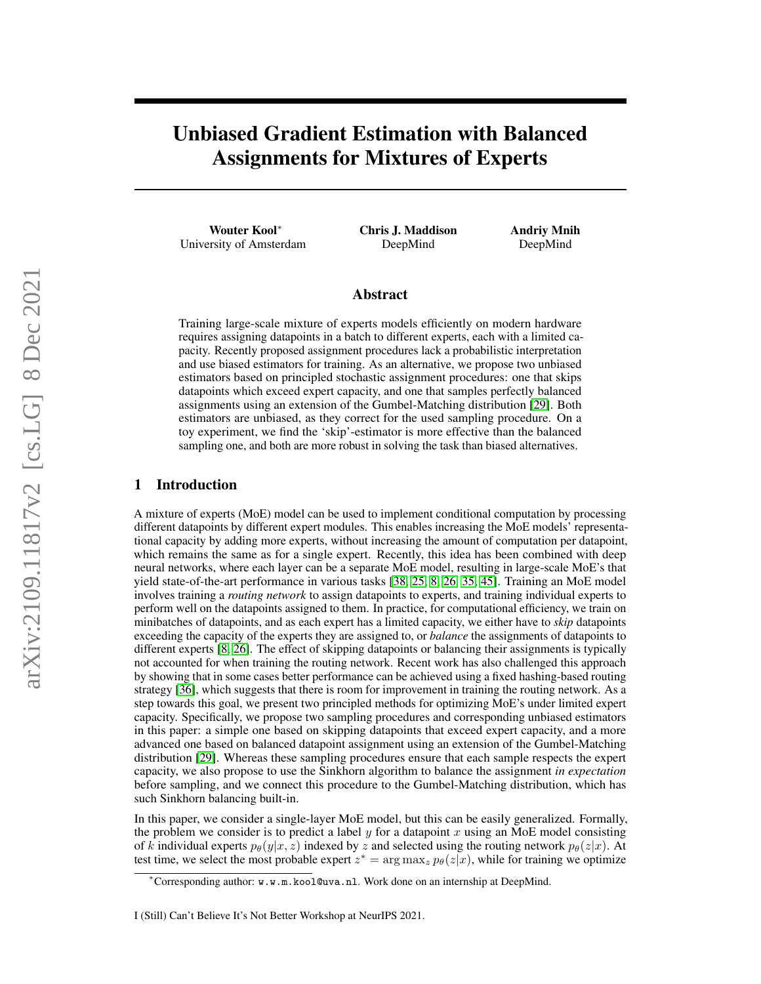# Unbiased Gradient Estimation with Balanced Assignments for Mixtures of Experts

Wouter Kool<sup>∗</sup> University of Amsterdam Chris J. Maddison DeepMind

Andriy Mnih DeepMind

# Abstract

Training large-scale mixture of experts models efficiently on modern hardware requires assigning datapoints in a batch to different experts, each with a limited capacity. Recently proposed assignment procedures lack a probabilistic interpretation and use biased estimators for training. As an alternative, we propose two unbiased estimators based on principled stochastic assignment procedures: one that skips datapoints which exceed expert capacity, and one that samples perfectly balanced assignments using an extension of the Gumbel-Matching distribution [\[29\]](#page-6-0). Both estimators are unbiased, as they correct for the used sampling procedure. On a toy experiment, we find the 'skip'-estimator is more effective than the balanced sampling one, and both are more robust in solving the task than biased alternatives.

# 1 Introduction

A mixture of experts (MoE) model can be used to implement conditional computation by processing different datapoints by different expert modules. This enables increasing the MoE models' representational capacity by adding more experts, without increasing the amount of computation per datapoint, which remains the same as for a single expert. Recently, this idea has been combined with deep neural networks, where each layer can be a separate MoE model, resulting in large-scale MoE's that yield state-of-the-art performance in various tasks [\[38,](#page-6-1) [25,](#page-5-0) [8,](#page-4-0) [26,](#page-5-1) [35,](#page-6-2) [45\]](#page-6-3). Training an MoE model involves training a *routing network* to assign datapoints to experts, and training individual experts to perform well on the datapoints assigned to them. In practice, for computational efficiency, we train on minibatches of datapoints, and as each expert has a limited capacity, we either have to *skip* datapoints exceeding the capacity of the experts they are assigned to, or *balance* the assignments of datapoints to different experts [\[8,](#page-4-0) [26\]](#page-5-1). The effect of skipping datapoints or balancing their assignments is typically not accounted for when training the routing network. Recent work has also challenged this approach by showing that in some cases better performance can be achieved using a fixed hashing-based routing strategy [\[36\]](#page-6-4), which suggests that there is room for improvement in training the routing network. As a step towards this goal, we present two principled methods for optimizing MoE's under limited expert capacity. Specifically, we propose two sampling procedures and corresponding unbiased estimators in this paper: a simple one based on skipping datapoints that exceed expert capacity, and a more advanced one based on balanced datapoint assignment using an extension of the Gumbel-Matching distribution [\[29\]](#page-6-0). Whereas these sampling procedures ensure that each sample respects the expert capacity, we also propose to use the Sinkhorn algorithm to balance the assignment *in expectation* before sampling, and we connect this procedure to the Gumbel-Matching distribution, which has such Sinkhorn balancing built-in.

In this paper, we consider a single-layer MoE model, but this can be easily generalized. Formally, the problem we consider is to predict a label y for a datapoint x using an MoE model consisting of k individual experts  $p_{\theta}(y|x, z)$  indexed by z and selected using the routing network  $p_{\theta}(z|x)$ . At test time, we select the most probable expert  $z^* = \arg \max_z p_\theta(z|x)$ , while for training we optimize

<sup>∗</sup>Corresponding author: w.w.m.kool@uva.nl. Work done on an internship at DeepMind.

I (Still) Can't Believe It's Not Better Workshop at NeurIPS 2021.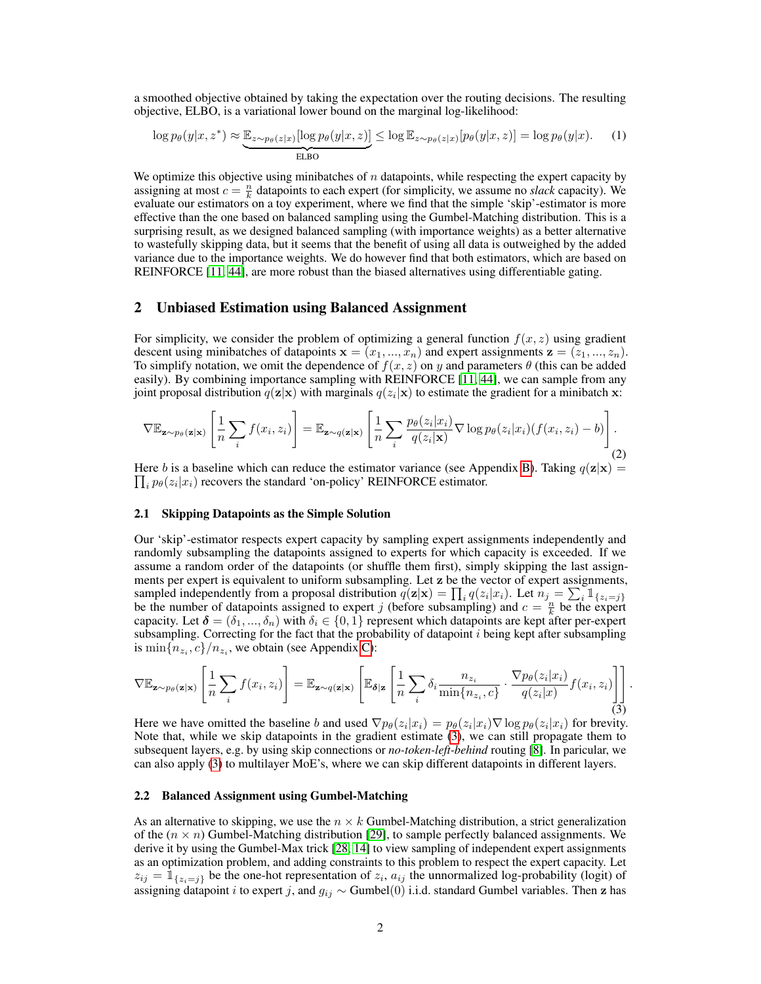a smoothed objective obtained by taking the expectation over the routing decisions. The resulting objective, ELBO, is a variational lower bound on the marginal log-likelihood:

<span id="page-1-2"></span>
$$
\log p_{\theta}(y|x, z^*) \approx \underbrace{\mathbb{E}_{z \sim p_{\theta}(z|x)}[\log p_{\theta}(y|x, z)]}_{\text{ELBO}} \le \log \mathbb{E}_{z \sim p_{\theta}(z|x)}[p_{\theta}(y|x, z)] = \log p_{\theta}(y|x). \tag{1}
$$

We optimize this objective using minibatches of  $n$  datapoints, while respecting the expert capacity by assigning at most  $c = \frac{n}{k}$  datapoints to each expert (for simplicity, we assume no *slack* capacity). We evaluate our estimators on a toy experiment, where we find that the simple 'skip'-estimator is more effective than the one based on balanced sampling using the Gumbel-Matching distribution. This is a surprising result, as we designed balanced sampling (with importance weights) as a better alternative to wastefully skipping data, but it seems that the benefit of using all data is outweighed by the added variance due to the importance weights. We do however find that both estimators, which are based on REINFORCE [\[11,](#page-5-2) [44\]](#page-6-5), are more robust than the biased alternatives using differentiable gating.

# 2 Unbiased Estimation using Balanced Assignment

For simplicity, we consider the problem of optimizing a general function  $f(x, z)$  using gradient descent using minibatches of datapoints  $\mathbf{x} = (x_1, ..., x_n)$  and expert assignments  $\mathbf{z} = (z_1, ..., z_n)$ . To simplify notation, we omit the dependence of  $f(x, z)$  on y and parameters  $\theta$  (this can be added easily). By combining importance sampling with REINFORCE [\[11,](#page-5-2) [44\]](#page-6-5), we can sample from any joint proposal distribution  $q(\mathbf{z}|\mathbf{x})$  with marginals  $q(z_i|\mathbf{x})$  to estimate the gradient for a minibatch  $\mathbf{x}$ :

<span id="page-1-1"></span>
$$
\nabla \mathbb{E}_{\mathbf{z} \sim p_{\theta}(\mathbf{z}|\mathbf{x})} \left[ \frac{1}{n} \sum_{i} f(x_i, z_i) \right] = \mathbb{E}_{\mathbf{z} \sim q(\mathbf{z}|\mathbf{x})} \left[ \frac{1}{n} \sum_{i} \frac{p_{\theta}(z_i|x_i)}{q(z_i|\mathbf{x})} \nabla \log p_{\theta}(z_i|x_i) (f(x_i, z_i) - b) \right].
$$
\n(2)

 $\prod_i p_\theta(z_i|x_i)$  recovers the standard 'on-policy' REINFORCE estimator. Here b is a baseline which can reduce the estimator variance (see Appendix [B\)](#page-7-0). Taking  $q(\mathbf{z}|\mathbf{x}) =$ 

### 2.1 Skipping Datapoints as the Simple Solution

Our 'skip'-estimator respects expert capacity by sampling expert assignments independently and randomly subsampling the datapoints assigned to experts for which capacity is exceeded. If we assume a random order of the datapoints (or shuffle them first), simply skipping the last assignments per expert is equivalent to uniform subsampling. Let z be the vector of expert assignments, sampled independently from a proposal distribution  $q(\mathbf{z}|\mathbf{x}) = \prod_i q(z_i|x_i)$ . Let  $n_j = \sum_i \mathbb{1}_{\{z_i = j\}}$ be the number of datapoints assigned to expert j (before subsampling) and  $c = \frac{n}{k}$  be the expert capacity. Let  $\boldsymbol{\delta} = (\delta_1, ..., \delta_n)$  with  $\delta_i \in \{0, 1\}$  represent which datapoints are kept after per-expert subsampling. Correcting for the fact that the probability of datapoint  $i$  being kept after subsampling is  $\min\{n_{z_i}, c\}/n_{z_i}$ , we obtain (see Appendix [C\)](#page-8-0):

<span id="page-1-0"></span>
$$
\nabla \mathbb{E}_{\mathbf{z} \sim p_{\theta}(\mathbf{z}|\mathbf{x})} \left[ \frac{1}{n} \sum_{i} f(x_i, z_i) \right] = \mathbb{E}_{\mathbf{z} \sim q(\mathbf{z}|\mathbf{x})} \left[ \mathbb{E}_{\delta | \mathbf{z}} \left[ \frac{1}{n} \sum_{i} \delta_i \frac{n_{z_i}}{\min\{n_{z_i}, c\}} \cdot \frac{\nabla p_{\theta}(z_i | x_i)}{q(z_i | x)} f(x_i, z_i) \right] \right].
$$

Here we have omitted the baseline b and used  $\nabla p_{\theta}(z_i|x_i) = p_{\theta}(z_i|x_i) \nabla \log p_{\theta}(z_i|x_i)$  for brevity. Note that, while we skip datapoints in the gradient estimate [\(3\)](#page-1-0), we can still propagate them to subsequent layers, e.g. by using skip connections or *no-token-left-behind* routing [\[8\]](#page-4-0). In paricular, we can also apply [\(3\)](#page-1-0) to multilayer MoE's, where we can skip different datapoints in different layers.

#### <span id="page-1-3"></span>2.2 Balanced Assignment using Gumbel-Matching

As an alternative to skipping, we use the  $n \times k$  Gumbel-Matching distribution, a strict generalization of the  $(n \times n)$  Gumbel-Matching distribution [\[29\]](#page-6-0), to sample perfectly balanced assignments. We derive it by using the Gumbel-Max trick [\[28,](#page-5-3) [14\]](#page-5-4) to view sampling of independent expert assignments as an optimization problem, and adding constraints to this problem to respect the expert capacity. Let  $z_{ij} = \mathbb{1}_{\{z_i = j\}}$  be the one-hot representation of  $z_i$ ,  $a_{ij}$  the unnormalized log-probability (logit) of assigning datapoint *i* to expert j, and  $g_{ij} \sim$  Gumbel(0) i.i.d. standard Gumbel variables. Then z has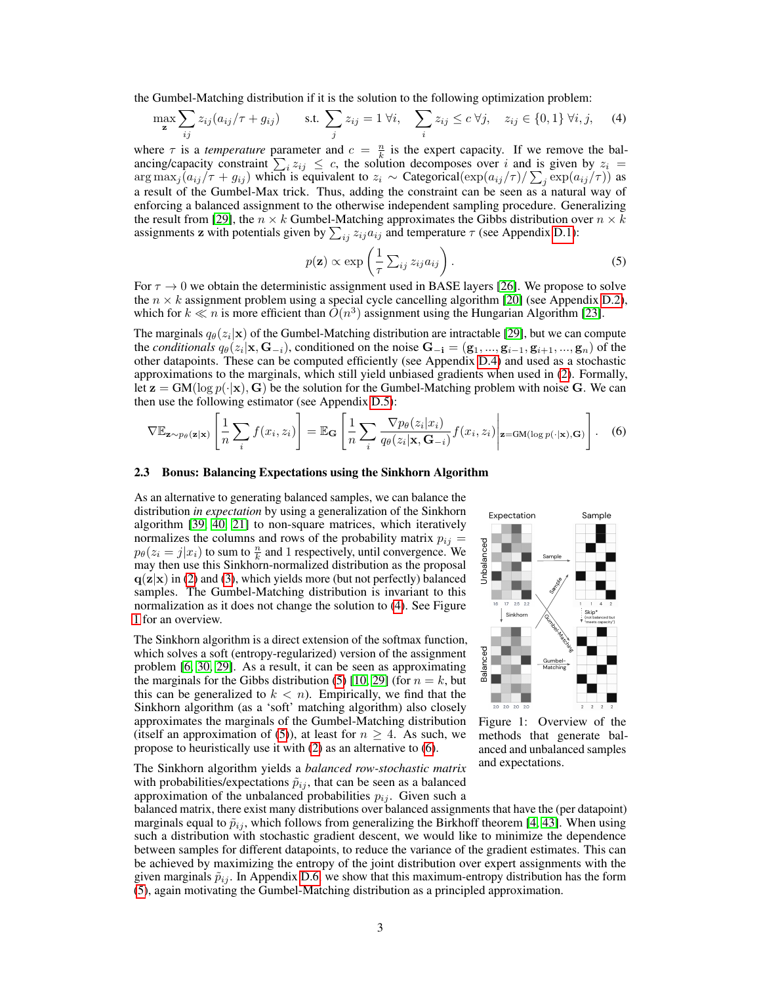the Gumbel-Matching distribution if it is the solution to the following optimization problem:

$$
\max_{\mathbf{z}} \sum_{ij} z_{ij} (a_{ij}/\tau + g_{ij}) \qquad \text{s.t. } \sum_{j} z_{ij} = 1 \ \forall i, \quad \sum_{i} z_{ij} \le c \ \forall j, \quad z_{ij} \in \{0, 1\} \ \forall i, j, \quad (4)
$$

where  $\tau$  is a *temperature* parameter and  $c = \frac{n}{k}$  is the expert capacity. If we remove the balancing/capacity constraint  $\sum_i z_{ij} \leq c$ , the solution decomposes over i and is given by  $z_i =$  $\arg \max_j (a_{ij}/\tau + g_{ij})$  which is equivalent to  $z_i \sim$  Categorical $(\exp(a_{ij}/\tau)/\sum_j \exp(a_{ij}/\tau))$  as a result of the Gumbel-Max trick. Thus, adding the constraint can be seen as a natural way of enforcing a balanced assignment to the otherwise independent sampling procedure. Generalizing the result from [\[29\]](#page-6-0), the  $n \times k$  Gumbel-Matching approximates the Gibbs distribution over  $n \times k$ assignments **z** with potentials given by  $\sum_{ij} z_{ij} a_{ij}$  and temperature  $\tau$  (see Appendix [D.1\)](#page-8-1):

<span id="page-2-2"></span><span id="page-2-0"></span>
$$
p(\mathbf{z}) \propto \exp\left(\frac{1}{\tau} \sum_{ij} z_{ij} a_{ij}\right). \tag{5}
$$

For  $\tau \to 0$  we obtain the deterministic assignment used in BASE layers [\[26\]](#page-5-1). We propose to solve the  $n \times k$  assignment problem using a special cycle cancelling algorithm [\[20\]](#page-5-5) (see Appendix [D.2\)](#page-8-2), which for  $k \ll n$  is more efficient than  $\tilde{O}(n^3)$  assignment using the Hungarian Algorithm [\[23\]](#page-5-6).

The marginals  $q_{\theta}(z_i|\mathbf{x})$  of the Gumbel-Matching distribution are intractable [\[29\]](#page-6-0), but we can compute the *conditionals*  $q_{\theta}(z_i|\mathbf{x}, \mathbf{G}_{-i})$ , conditioned on the noise  $\mathbf{G}_{-i} = (\mathbf{g}_1, ..., \mathbf{g}_{i-1}, \mathbf{g}_{i+1}, ..., \mathbf{g}_n)$  of the other datapoints. These can be computed efficiently (see Appendix [D.4\)](#page-9-0) and used as a stochastic approximations to the marginals, which still yield unbiased gradients when used in [\(2\)](#page-1-1). Formally, let  $z = GM(\log p(\cdot|x), G)$  be the solution for the Gumbel-Matching problem with noise G. We can then use the following estimator (see Appendix [D.5\)](#page-10-0):

$$
\nabla \mathbb{E}_{\mathbf{z} \sim p_{\theta}(\mathbf{z}|\mathbf{x})} \left[ \frac{1}{n} \sum_{i} f(x_i, z_i) \right] = \mathbb{E}_{\mathbf{G}} \left[ \frac{1}{n} \sum_{i} \frac{\nabla p_{\theta}(z_i|x_i)}{q_{\theta}(z_i|\mathbf{x}, \mathbf{G}_{-i})} f(x_i, z_i) \middle| \mathbf{z} = \text{GM}(\log p(\cdot|\mathbf{x}), \mathbf{G}) \right]. \tag{6}
$$

### 2.3 Bonus: Balancing Expectations using the Sinkhorn Algorithm

As an alternative to generating balanced samples, we can balance the distribution *in expectation* by using a generalization of the Sinkhorn algorithm [\[39,](#page-6-6) [40,](#page-6-7) [21\]](#page-5-7) to non-square matrices, which iteratively normalizes the columns and rows of the probability matrix  $p_{ij} =$  $p_{\theta}(z_i = j | x_i)$  to sum to  $\frac{n}{k}$  and 1 respectively, until convergence. We may then use this Sinkhorn-normalized distribution as the proposal  $q(\mathbf{z}|\mathbf{x})$  in [\(2\)](#page-1-1) and [\(3\)](#page-1-0), which yields more (but not perfectly) balanced samples. The Gumbel-Matching distribution is invariant to this normalization as it does not change the solution to [\(4\)](#page-2-0). See Figure [1](#page-2-1) for an overview.

The Sinkhorn algorithm is a direct extension of the softmax function, which solves a soft (entropy-regularized) version of the assignment problem [\[6,](#page-4-1) [30,](#page-6-8) [29\]](#page-6-0). As a result, it can be seen as approximating the marginals for the Gibbs distribution [\(5\)](#page-2-2) [\[10,](#page-5-8) [29\]](#page-6-0) (for  $n = k$ , but this can be generalized to  $k < n$ ). Empirically, we find that the Sinkhorn algorithm (as a 'soft' matching algorithm) also closely approximates the marginals of the Gumbel-Matching distribution (itself an approximation of [\(5\)](#page-2-2)), at least for  $n \geq 4$ . As such, we propose to heuristically use it with [\(2\)](#page-1-1) as an alternative to [\(6\)](#page-2-3).

The Sinkhorn algorithm yields a *balanced row-stochastic matrix* with probabilities/expectations  $\tilde{p}_{ij}$ , that can be seen as a balanced approximation of the unbalanced probabilities  $p_{ij}$ . Given such a

<span id="page-2-3"></span><span id="page-2-1"></span>

Figure 1: Overview of the methods that generate balanced and unbalanced samples and expectations.

balanced matrix, there exist many distributions over balanced assignments that have the (per datapoint) marginals equal to  $\tilde{p}_{ij}$ , which follows from generalizing the Birkhoff theorem [\[4,](#page-4-2) [43\]](#page-6-9). When using such a distribution with stochastic gradient descent, we would like to minimize the dependence between samples for different datapoints, to reduce the variance of the gradient estimates. This can be achieved by maximizing the entropy of the joint distribution over expert assignments with the given marginals  $\tilde{p}_{ij}$ . In Appendix [D.6,](#page-10-1) we show that this maximum-entropy distribution has the form [\(5\)](#page-2-2), again motivating the Gumbel-Matching distribution as a principled approximation.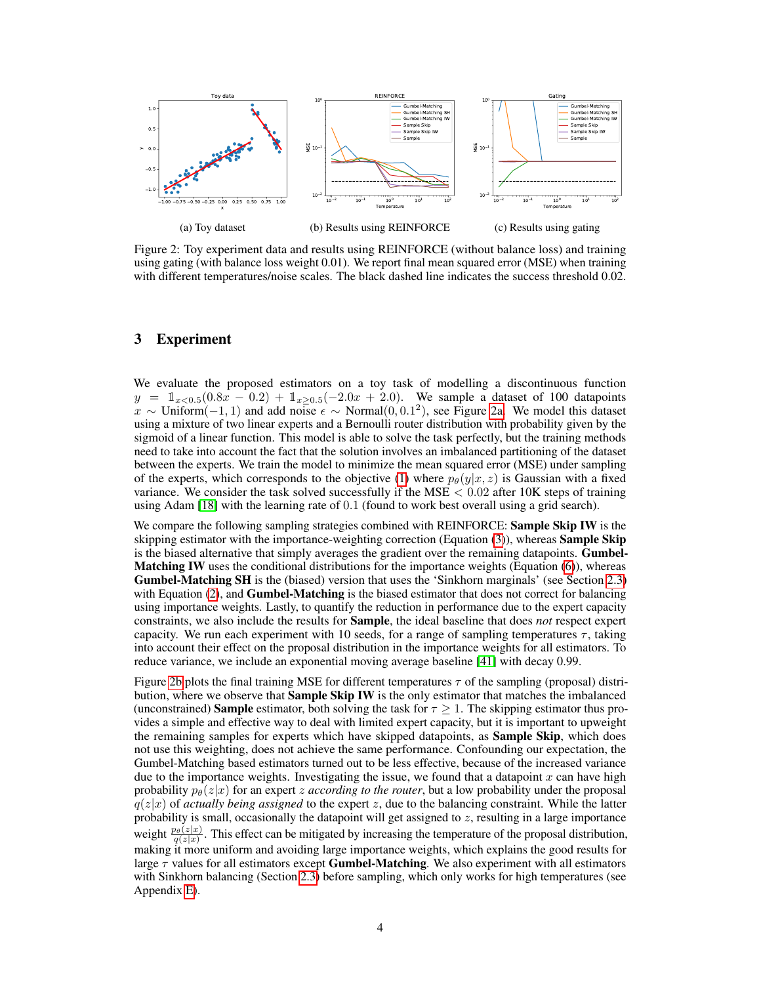<span id="page-3-0"></span>

Figure 2: Toy experiment data and results using REINFORCE (without balance loss) and training using gating (with balance loss weight 0.01). We report final mean squared error (MSE) when training with different temperatures/noise scales. The black dashed line indicates the success threshold 0.02.

# 3 Experiment

We evaluate the proposed estimators on a toy task of modelling a discontinuous function  $y = \mathbb{1}_{x \le 0.5}(0.8x - 0.2) + \mathbb{1}_{x \ge 0.5}(-2.0x + 2.0)$ . We sample a dataset of 100 datapoints  $x \sim$  Uniform $(-1, 1)$  and add noise  $\epsilon \sim$  Normal $(0, 0.1^2)$ , see Figure [2a.](#page-3-0) We model this dataset using a mixture of two linear experts and a Bernoulli router distribution with probability given by the sigmoid of a linear function. This model is able to solve the task perfectly, but the training methods need to take into account the fact that the solution involves an imbalanced partitioning of the dataset between the experts. We train the model to minimize the mean squared error (MSE) under sampling of the experts, which corresponds to the objective [\(1\)](#page-1-2) where  $p_{\theta}(y|x, z)$  is Gaussian with a fixed variance. We consider the task solved successfully if the MSE  $< 0.02$  after 10K steps of training using Adam [\[18\]](#page-5-9) with the learning rate of 0.1 (found to work best overall using a grid search).

We compare the following sampling strategies combined with REINFORCE: Sample Skip IW is the skipping estimator with the importance-weighting correction (Equation  $(3)$ ), whereas **Sample Skip** is the biased alternative that simply averages the gradient over the remaining datapoints. **Gumbel-Matching IW** uses the conditional distributions for the importance weights (Equation [\(6\)](#page-2-3)), whereas Gumbel-Matching SH is the (biased) version that uses the 'Sinkhorn marginals' (see Section [2.3\)](#page-2-1) with Equation  $(2)$ , and **Gumbel-Matching** is the biased estimator that does not correct for balancing using importance weights. Lastly, to quantify the reduction in performance due to the expert capacity constraints, we also include the results for Sample, the ideal baseline that does *not* respect expert capacity. We run each experiment with 10 seeds, for a range of sampling temperatures  $\tau$ , taking into account their effect on the proposal distribution in the importance weights for all estimators. To reduce variance, we include an exponential moving average baseline [\[41\]](#page-6-10) with decay 0.99.

Figure [2b](#page-3-0) plots the final training MSE for different temperatures  $\tau$  of the sampling (proposal) distribution, where we observe that **Sample Skip IW** is the only estimator that matches the imbalanced (unconstrained) **Sample** estimator, both solving the task for  $\tau \geq 1$ . The skipping estimator thus provides a simple and effective way to deal with limited expert capacity, but it is important to upweight the remaining samples for experts which have skipped datapoints, as **Sample Skip**, which does not use this weighting, does not achieve the same performance. Confounding our expectation, the Gumbel-Matching based estimators turned out to be less effective, because of the increased variance due to the importance weights. Investigating the issue, we found that a datapoint  $x$  can have high probability  $p_{\theta}(z|x)$  for an expert *z according to the router*, but a low probability under the proposal  $q(z|x)$  of *actually being assigned* to the expert z, due to the balancing constraint. While the latter probability is small, occasionally the datapoint will get assigned to z, resulting in a large importance weight  $\frac{p_{\theta}(z|x)}{q(z|x)}$ . This effect can be mitigated by increasing the temperature of the proposal distribution, making it more uniform and avoiding large importance weights, which explains the good results for large  $\tau$  values for all estimators except **Gumbel-Matching**. We also experiment with all estimators with Sinkhorn balancing (Section [2.3\)](#page-2-1) before sampling, which only works for high temperatures (see Appendix [E\)](#page-12-0).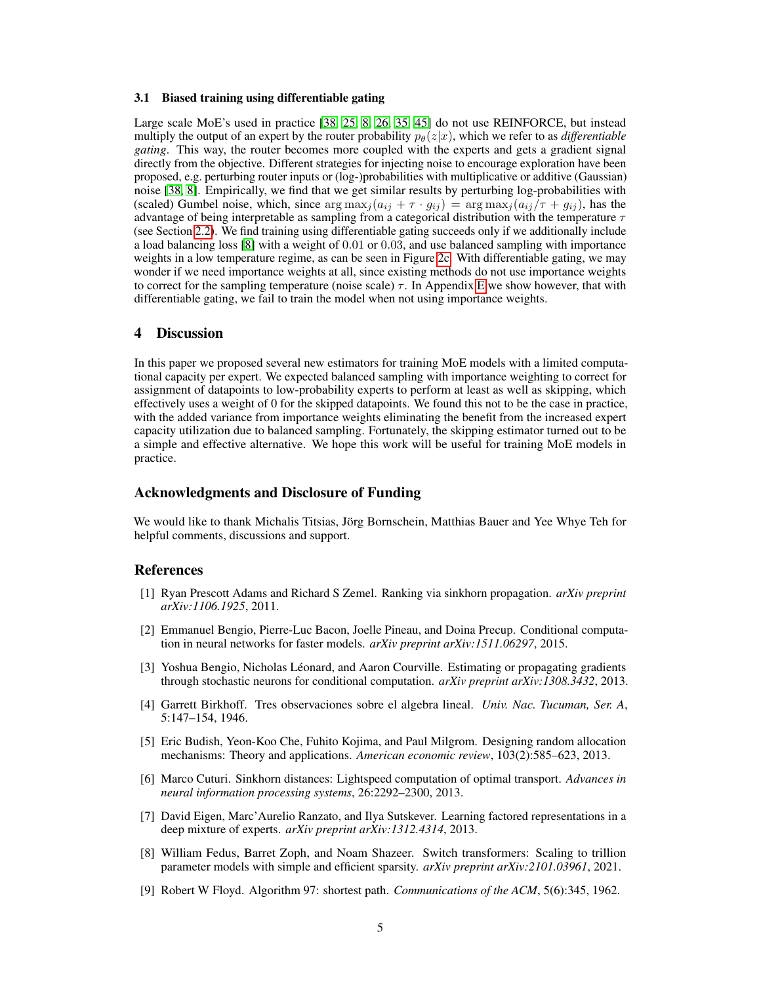### <span id="page-4-6"></span>3.1 Biased training using differentiable gating

Large scale MoE's used in practice [\[38,](#page-6-1) [25,](#page-5-0) [8,](#page-4-0) [26,](#page-5-1) [35,](#page-6-2) [45\]](#page-6-3) do not use REINFORCE, but instead multiply the output of an expert by the router probability  $p_{\theta}(z|x)$ , which we refer to as *differentiable gating*. This way, the router becomes more coupled with the experts and gets a gradient signal directly from the objective. Different strategies for injecting noise to encourage exploration have been proposed, e.g. perturbing router inputs or (log-)probabilities with multiplicative or additive (Gaussian) noise [\[38,](#page-6-1) [8\]](#page-4-0). Empirically, we find that we get similar results by perturbing log-probabilities with (scaled) Gumbel noise, which, since  $\arg \max_j (a_{ij} + \tau \cdot g_{ij}) = \arg \max_j (a_{ij} / \tau + g_{ij})$ , has the advantage of being interpretable as sampling from a categorical distribution with the temperature  $\tau$ (see Section [2.2\)](#page-1-3). We find training using differentiable gating succeeds only if we additionally include a load balancing loss [\[8\]](#page-4-0) with a weight of 0.01 or 0.03, and use balanced sampling with importance weights in a low temperature regime, as can be seen in Figure [2c.](#page-3-0) With differentiable gating, we may wonder if we need importance weights at all, since existing methods do not use importance weights to correct for the sampling temperature (noise scale)  $\tau$ . In Appendix [E](#page-12-0) we show however, that with differentiable gating, we fail to train the model when not using importance weights.

# 4 Discussion

In this paper we proposed several new estimators for training MoE models with a limited computational capacity per expert. We expected balanced sampling with importance weighting to correct for assignment of datapoints to low-probability experts to perform at least as well as skipping, which effectively uses a weight of 0 for the skipped datapoints. We found this not to be the case in practice, with the added variance from importance weights eliminating the benefit from the increased expert capacity utilization due to balanced sampling. Fortunately, the skipping estimator turned out to be a simple and effective alternative. We hope this work will be useful for training MoE models in practice.

## Acknowledgments and Disclosure of Funding

We would like to thank Michalis Titsias, Jörg Bornschein, Matthias Bauer and Yee Whye Teh for helpful comments, discussions and support.

## References

- <span id="page-4-7"></span>[1] Ryan Prescott Adams and Richard S Zemel. Ranking via sinkhorn propagation. *arXiv preprint arXiv:1106.1925*, 2011.
- <span id="page-4-5"></span>[2] Emmanuel Bengio, Pierre-Luc Bacon, Joelle Pineau, and Doina Precup. Conditional computation in neural networks for faster models. *arXiv preprint arXiv:1511.06297*, 2015.
- <span id="page-4-4"></span>[3] Yoshua Bengio, Nicholas Léonard, and Aaron Courville. Estimating or propagating gradients through stochastic neurons for conditional computation. *arXiv preprint arXiv:1308.3432*, 2013.
- <span id="page-4-2"></span>[4] Garrett Birkhoff. Tres observaciones sobre el algebra lineal. *Univ. Nac. Tucuman, Ser. A*, 5:147–154, 1946.
- <span id="page-4-8"></span>[5] Eric Budish, Yeon-Koo Che, Fuhito Kojima, and Paul Milgrom. Designing random allocation mechanisms: Theory and applications. *American economic review*, 103(2):585–623, 2013.
- <span id="page-4-1"></span>[6] Marco Cuturi. Sinkhorn distances: Lightspeed computation of optimal transport. *Advances in neural information processing systems*, 26:2292–2300, 2013.
- <span id="page-4-3"></span>[7] David Eigen, Marc'Aurelio Ranzato, and Ilya Sutskever. Learning factored representations in a deep mixture of experts. *arXiv preprint arXiv:1312.4314*, 2013.
- <span id="page-4-0"></span>[8] William Fedus, Barret Zoph, and Noam Shazeer. Switch transformers: Scaling to trillion parameter models with simple and efficient sparsity. *arXiv preprint arXiv:2101.03961*, 2021.
- <span id="page-4-9"></span>[9] Robert W Floyd. Algorithm 97: shortest path. *Communications of the ACM*, 5(6):345, 1962.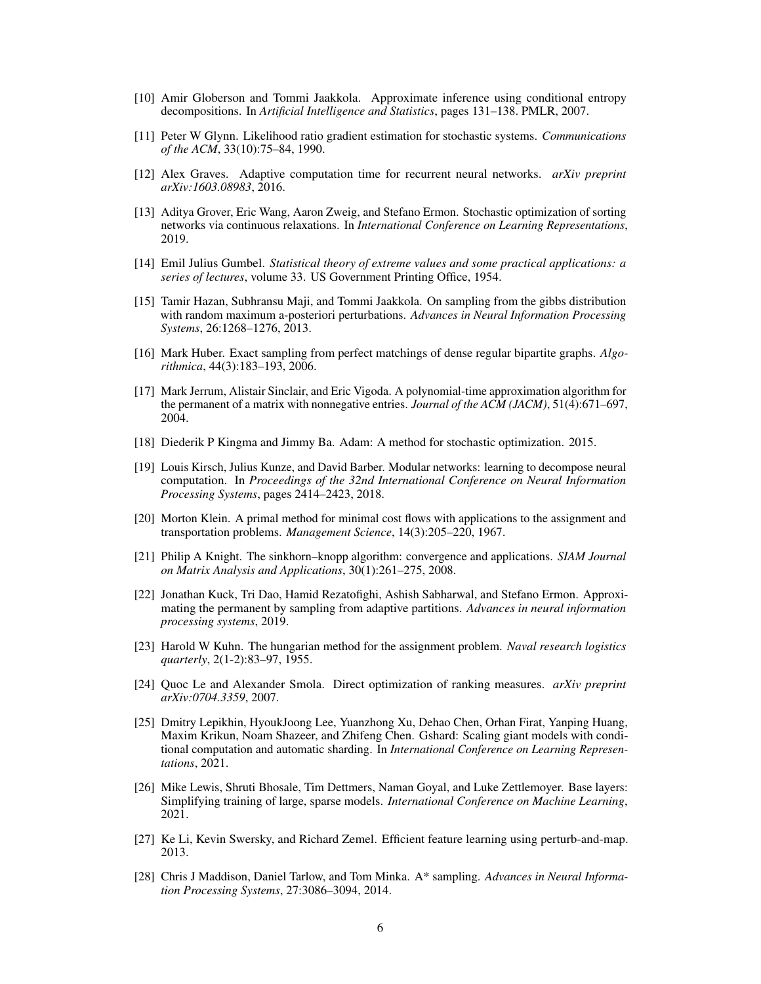- <span id="page-5-8"></span>[10] Amir Globerson and Tommi Jaakkola. Approximate inference using conditional entropy decompositions. In *Artificial Intelligence and Statistics*, pages 131–138. PMLR, 2007.
- <span id="page-5-2"></span>[11] Peter W Glynn. Likelihood ratio gradient estimation for stochastic systems. *Communications of the ACM*, 33(10):75–84, 1990.
- <span id="page-5-10"></span>[12] Alex Graves. Adaptive computation time for recurrent neural networks. *arXiv preprint arXiv:1603.08983*, 2016.
- <span id="page-5-14"></span>[13] Aditya Grover, Eric Wang, Aaron Zweig, and Stefano Ermon. Stochastic optimization of sorting networks via continuous relaxations. In *International Conference on Learning Representations*, 2019.
- <span id="page-5-4"></span>[14] Emil Julius Gumbel. *Statistical theory of extreme values and some practical applications: a series of lectures*, volume 33. US Government Printing Office, 1954.
- <span id="page-5-18"></span>[15] Tamir Hazan, Subhransu Maji, and Tommi Jaakkola. On sampling from the gibbs distribution with random maximum a-posteriori perturbations. *Advances in Neural Information Processing Systems*, 26:1268–1276, 2013.
- <span id="page-5-15"></span>[16] Mark Huber. Exact sampling from perfect matchings of dense regular bipartite graphs. *Algorithmica*, 44(3):183–193, 2006.
- <span id="page-5-16"></span>[17] Mark Jerrum, Alistair Sinclair, and Eric Vigoda. A polynomial-time approximation algorithm for the permanent of a matrix with nonnegative entries. *Journal of the ACM (JACM)*, 51(4):671–697, 2004.
- <span id="page-5-9"></span>[18] Diederik P Kingma and Jimmy Ba. Adam: A method for stochastic optimization. 2015.
- <span id="page-5-11"></span>[19] Louis Kirsch, Julius Kunze, and David Barber. Modular networks: learning to decompose neural computation. In *Proceedings of the 32nd International Conference on Neural Information Processing Systems*, pages 2414–2423, 2018.
- <span id="page-5-5"></span>[20] Morton Klein. A primal method for minimal cost flows with applications to the assignment and transportation problems. *Management Science*, 14(3):205–220, 1967.
- <span id="page-5-7"></span>[21] Philip A Knight. The sinkhorn–knopp algorithm: convergence and applications. *SIAM Journal on Matrix Analysis and Applications*, 30(1):261–275, 2008.
- <span id="page-5-17"></span>[22] Jonathan Kuck, Tri Dao, Hamid Rezatofighi, Ashish Sabharwal, and Stefano Ermon. Approximating the permanent by sampling from adaptive partitions. *Advances in neural information processing systems*, 2019.
- <span id="page-5-6"></span>[23] Harold W Kuhn. The hungarian method for the assignment problem. *Naval research logistics quarterly*, 2(1-2):83–97, 1955.
- <span id="page-5-12"></span>[24] Quoc Le and Alexander Smola. Direct optimization of ranking measures. *arXiv preprint arXiv:0704.3359*, 2007.
- <span id="page-5-0"></span>[25] Dmitry Lepikhin, HyoukJoong Lee, Yuanzhong Xu, Dehao Chen, Orhan Firat, Yanping Huang, Maxim Krikun, Noam Shazeer, and Zhifeng Chen. Gshard: Scaling giant models with conditional computation and automatic sharding. In *International Conference on Learning Representations*, 2021.
- <span id="page-5-1"></span>[26] Mike Lewis, Shruti Bhosale, Tim Dettmers, Naman Goyal, and Luke Zettlemoyer. Base layers: Simplifying training of large, sparse models. *International Conference on Machine Learning*, 2021.
- <span id="page-5-13"></span>[27] Ke Li, Kevin Swersky, and Richard Zemel. Efficient feature learning using perturb-and-map. 2013.
- <span id="page-5-3"></span>[28] Chris J Maddison, Daniel Tarlow, and Tom Minka. A\* sampling. *Advances in Neural Information Processing Systems*, 27:3086–3094, 2014.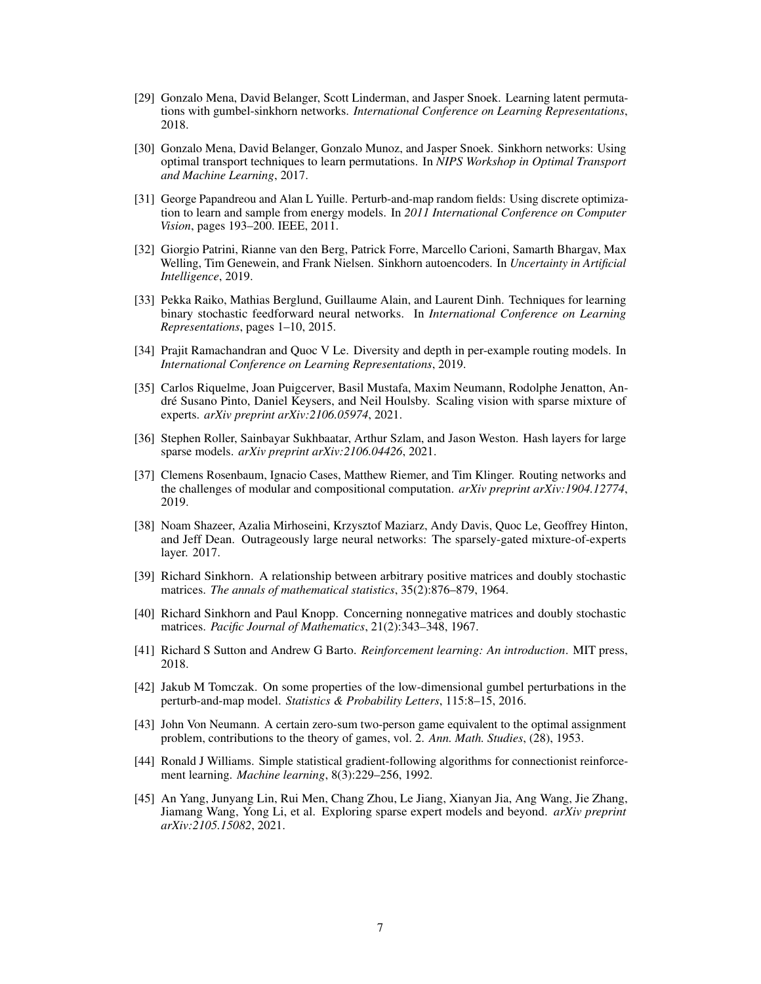- <span id="page-6-0"></span>[29] Gonzalo Mena, David Belanger, Scott Linderman, and Jasper Snoek. Learning latent permutations with gumbel-sinkhorn networks. *International Conference on Learning Representations*, 2018.
- <span id="page-6-8"></span>[30] Gonzalo Mena, David Belanger, Gonzalo Munoz, and Jasper Snoek. Sinkhorn networks: Using optimal transport techniques to learn permutations. In *NIPS Workshop in Optimal Transport and Machine Learning*, 2017.
- <span id="page-6-15"></span>[31] George Papandreou and Alan L Yuille. Perturb-and-map random fields: Using discrete optimization to learn and sample from energy models. In *2011 International Conference on Computer Vision*, pages 193–200. IEEE, 2011.
- <span id="page-6-14"></span>[32] Giorgio Patrini, Rianne van den Berg, Patrick Forre, Marcello Carioni, Samarth Bhargav, Max Welling, Tim Genewein, and Frank Nielsen. Sinkhorn autoencoders. In *Uncertainty in Artificial Intelligence*, 2019.
- <span id="page-6-13"></span>[33] Pekka Raiko, Mathias Berglund, Guillaume Alain, and Laurent Dinh. Techniques for learning binary stochastic feedforward neural networks. In *International Conference on Learning Representations*, pages 1–10, 2015.
- <span id="page-6-12"></span>[34] Prajit Ramachandran and Quoc V Le. Diversity and depth in per-example routing models. In *International Conference on Learning Representations*, 2019.
- <span id="page-6-2"></span>[35] Carlos Riquelme, Joan Puigcerver, Basil Mustafa, Maxim Neumann, Rodolphe Jenatton, André Susano Pinto, Daniel Keysers, and Neil Houlsby. Scaling vision with sparse mixture of experts. *arXiv preprint arXiv:2106.05974*, 2021.
- <span id="page-6-4"></span>[36] Stephen Roller, Sainbayar Sukhbaatar, Arthur Szlam, and Jason Weston. Hash layers for large sparse models. *arXiv preprint arXiv:2106.04426*, 2021.
- <span id="page-6-11"></span>[37] Clemens Rosenbaum, Ignacio Cases, Matthew Riemer, and Tim Klinger. Routing networks and the challenges of modular and compositional computation. *arXiv preprint arXiv:1904.12774*, 2019.
- <span id="page-6-1"></span>[38] Noam Shazeer, Azalia Mirhoseini, Krzysztof Maziarz, Andy Davis, Quoc Le, Geoffrey Hinton, and Jeff Dean. Outrageously large neural networks: The sparsely-gated mixture-of-experts layer. 2017.
- <span id="page-6-6"></span>[39] Richard Sinkhorn. A relationship between arbitrary positive matrices and doubly stochastic matrices. *The annals of mathematical statistics*, 35(2):876–879, 1964.
- <span id="page-6-7"></span>[40] Richard Sinkhorn and Paul Knopp. Concerning nonnegative matrices and doubly stochastic matrices. *Pacific Journal of Mathematics*, 21(2):343–348, 1967.
- <span id="page-6-10"></span>[41] Richard S Sutton and Andrew G Barto. *Reinforcement learning: An introduction*. MIT press, 2018.
- <span id="page-6-16"></span>[42] Jakub M Tomczak. On some properties of the low-dimensional gumbel perturbations in the perturb-and-map model. *Statistics & Probability Letters*, 115:8–15, 2016.
- <span id="page-6-9"></span>[43] John Von Neumann. A certain zero-sum two-person game equivalent to the optimal assignment problem, contributions to the theory of games, vol. 2. *Ann. Math. Studies*, (28), 1953.
- <span id="page-6-5"></span>[44] Ronald J Williams. Simple statistical gradient-following algorithms for connectionist reinforcement learning. *Machine learning*, 8(3):229–256, 1992.
- <span id="page-6-3"></span>[45] An Yang, Junyang Lin, Rui Men, Chang Zhou, Le Jiang, Xianyan Jia, Ang Wang, Jie Zhang, Jiamang Wang, Yong Li, et al. Exploring sparse expert models and beyond. *arXiv preprint arXiv:2105.15082*, 2021.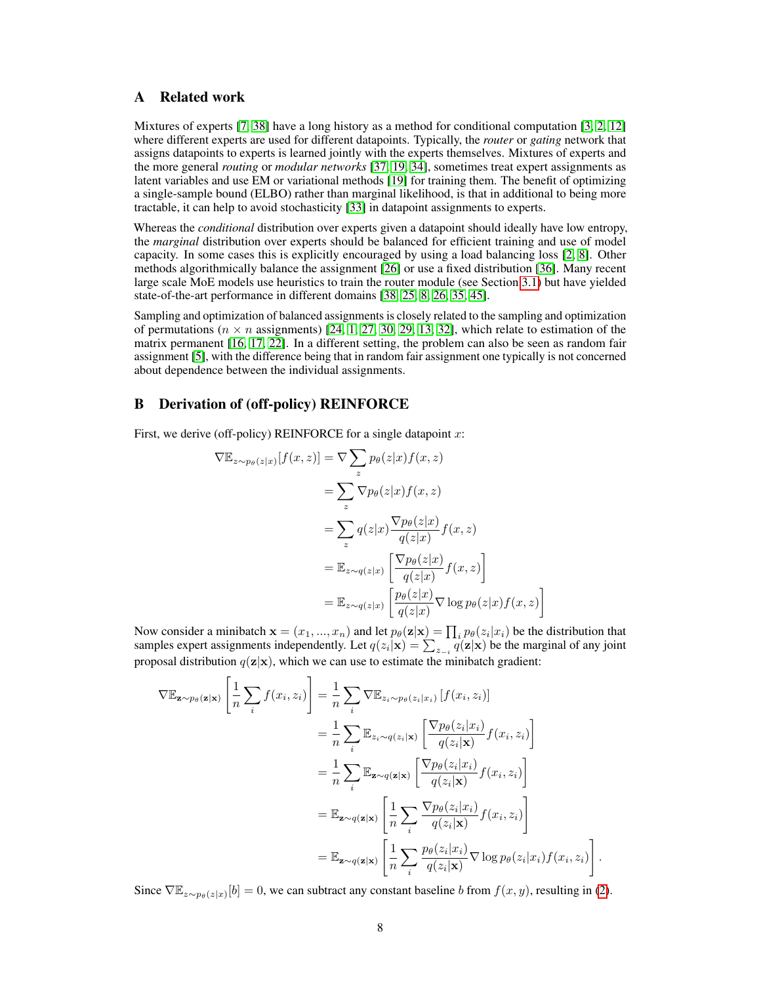# A Related work

Mixtures of experts [\[7,](#page-4-3) [38\]](#page-6-1) have a long history as a method for conditional computation [\[3,](#page-4-4) [2,](#page-4-5) [12\]](#page-5-10) where different experts are used for different datapoints. Typically, the *router* or *gating* network that assigns datapoints to experts is learned jointly with the experts themselves. Mixtures of experts and the more general *routing* or *modular networks* [\[37,](#page-6-11) [19,](#page-5-11) [34\]](#page-6-12), sometimes treat expert assignments as latent variables and use EM or variational methods [\[19\]](#page-5-11) for training them. The benefit of optimizing a single-sample bound (ELBO) rather than marginal likelihood, is that in additional to being more tractable, it can help to avoid stochasticity [\[33\]](#page-6-13) in datapoint assignments to experts.

Whereas the *conditional* distribution over experts given a datapoint should ideally have low entropy, the *marginal* distribution over experts should be balanced for efficient training and use of model capacity. In some cases this is explicitly encouraged by using a load balancing loss [\[2,](#page-4-5) [8\]](#page-4-0). Other methods algorithmically balance the assignment [\[26\]](#page-5-1) or use a fixed distribution [\[36\]](#page-6-4). Many recent large scale MoE models use heuristics to train the router module (see Section [3.1\)](#page-4-6) but have yielded state-of-the-art performance in different domains [\[38,](#page-6-1) [25,](#page-5-0) [8,](#page-4-0) [26,](#page-5-1) [35,](#page-6-2) [45\]](#page-6-3).

Sampling and optimization of balanced assignments is closely related to the sampling and optimization of permutations ( $n \times n$  assignments) [\[24,](#page-5-12) [1,](#page-4-7) [27,](#page-5-13) [30,](#page-6-8) [29,](#page-6-0) [13,](#page-5-14) [32\]](#page-6-14), which relate to estimation of the matrix permanent [\[16,](#page-5-15) [17,](#page-5-16) [22\]](#page-5-17). In a different setting, the problem can also be seen as random fair assignment [\[5\]](#page-4-8), with the difference being that in random fair assignment one typically is not concerned about dependence between the individual assignments.

# <span id="page-7-0"></span>B Derivation of (off-policy) REINFORCE

First, we derive (off-policy) REINFORCE for a single datapoint  $x$ :

$$
\nabla \mathbb{E}_{z \sim p_{\theta}(z|x)}[f(x, z)] = \nabla \sum_{z} p_{\theta}(z|x) f(x, z)
$$
  
\n
$$
= \sum_{z} \nabla p_{\theta}(z|x) f(x, z)
$$
  
\n
$$
= \sum_{z} q(z|x) \frac{\nabla p_{\theta}(z|x)}{q(z|x)} f(x, z)
$$
  
\n
$$
= \mathbb{E}_{z \sim q(z|x)} \left[ \frac{\nabla p_{\theta}(z|x)}{q(z|x)} f(x, z) \right]
$$
  
\n
$$
= \mathbb{E}_{z \sim q(z|x)} \left[ \frac{p_{\theta}(z|x)}{q(z|x)} \nabla \log p_{\theta}(z|x) f(x, z) \right]
$$

Now consider a minibatch  $\mathbf{x} = (x_1, ..., x_n)$  and let  $p_\theta(\mathbf{z}|\mathbf{x}) = \prod_i p_\theta(z_i|x_i)$  be the distribution that samples expert assignments independently. Let  $q(z_i|\mathbf{x}) = \sum_{z_{-i}} q(\mathbf{z}|\mathbf{x})$  be the marginal of any joint proposal distribution  $q(\mathbf{z}|\mathbf{x})$ , which we can use to estimate the minibatch gradient:

1

.

$$
\nabla \mathbb{E}_{\mathbf{z} \sim p_{\theta}(\mathbf{z}|\mathbf{x})} \left[ \frac{1}{n} \sum_{i} f(x_{i}, z_{i}) \right] = \frac{1}{n} \sum_{i} \nabla \mathbb{E}_{z_{i} \sim p_{\theta}(z_{i}|x_{i})} \left[ f(x_{i}, z_{i}) \right]
$$
  
\n
$$
= \frac{1}{n} \sum_{i} \mathbb{E}_{z_{i} \sim q(z_{i}|\mathbf{x})} \left[ \frac{\nabla p_{\theta}(z_{i}|x_{i})}{q(z_{i}|\mathbf{x})} f(x_{i}, z_{i}) \right]
$$
  
\n
$$
= \frac{1}{n} \sum_{i} \mathbb{E}_{\mathbf{z} \sim q(\mathbf{z}|\mathbf{x})} \left[ \frac{\nabla p_{\theta}(z_{i}|\mathbf{x}_{i})}{q(z_{i}|\mathbf{x})} f(x_{i}, z_{i}) \right]
$$
  
\n
$$
= \mathbb{E}_{\mathbf{z} \sim q(\mathbf{z}|\mathbf{x})} \left[ \frac{1}{n} \sum_{i} \frac{\nabla p_{\theta}(z_{i}|\mathbf{x}_{i})}{q(z_{i}|\mathbf{x})} f(x_{i}, z_{i}) \right]
$$
  
\n
$$
= \mathbb{E}_{\mathbf{z} \sim q(\mathbf{z}|\mathbf{x})} \left[ \frac{1}{n} \sum_{i} \frac{p_{\theta}(z_{i}|\mathbf{x}_{i})}{q(z_{i}|\mathbf{x})} \nabla \log p_{\theta}(z_{i}|\mathbf{x}_{i}) f(x_{i}, z_{i}) \right]
$$

Since  $\nabla \mathbb{E}_{z \sim p_{\theta}(z|x)}[b] = 0$ , we can subtract any constant baseline b from  $f(x, y)$ , resulting in [\(2\)](#page-1-1).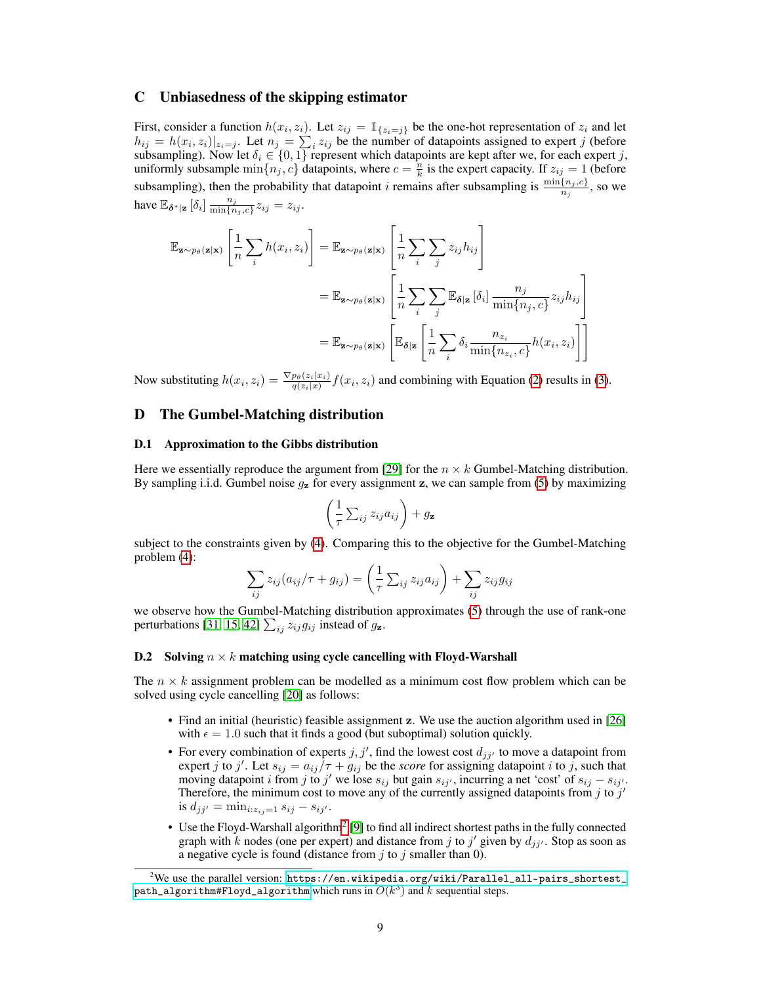## <span id="page-8-0"></span>C Unbiasedness of the skipping estimator

First, consider a function  $h(x_i, z_i)$ . Let  $z_{ij} = \mathbb{1}_{\{z_i = j\}}$  be the one-hot representation of  $z_i$  and let  $h_{ij} = h(x_i, z_i)|_{z_i=j}$ . Let  $n_j = \sum_i z_{ij}$  be the number of datapoints assigned to expert j (before subsampling). Now let  $\delta_i \in \{0,1\}$  represent which datapoints are kept after we, for each expert j, uniformly subsample  $\min\{n_j, c\}$  datapoints, where  $c = \frac{n}{k}$  is the expert capacity. If  $z_{ij} = 1$  (before subsampling), then the probability that datapoint *i* remains after subsampling is  $\frac{\min\{n_j, c\}}{n_j}$ , so we have  $\mathbb{E}_{\delta^*|\mathbf{z}}[\delta_i] \frac{n_j}{\min\{n\}}$  $\frac{n_j}{\min\{n_j, c\}} z_{ij} = z_{ij}.$ 

$$
\mathbb{E}_{\mathbf{z} \sim p_{\theta}(\mathbf{z}|\mathbf{x})} \left[ \frac{1}{n} \sum_{i} h(x_i, z_i) \right] = \mathbb{E}_{\mathbf{z} \sim p_{\theta}(\mathbf{z}|\mathbf{x})} \left[ \frac{1}{n} \sum_{i} \sum_{j} z_{ij} h_{ij} \right]
$$
  
\n
$$
= \mathbb{E}_{\mathbf{z} \sim p_{\theta}(\mathbf{z}|\mathbf{x})} \left[ \frac{1}{n} \sum_{i} \sum_{j} \mathbb{E}_{\delta | \mathbf{z}} \left[ \delta_i \right] \frac{n_j}{\min\{n_j, c\}} z_{ij} h_{ij} \right]
$$
  
\n
$$
= \mathbb{E}_{\mathbf{z} \sim p_{\theta}(\mathbf{z}|\mathbf{x})} \left[ \mathbb{E}_{\delta | \mathbf{z}} \left[ \frac{1}{n} \sum_{i} \delta_i \frac{n_{z_i}}{\min\{n_{z_i}, c\}} h(x_i, z_i) \right] \right]
$$

Now substituting  $h(x_i, z_i) = \frac{\nabla p_\theta(z_i|x_i)}{q(z_i|x)} f(x_i, z_i)$  and combining with Equation [\(2\)](#page-1-1) results in [\(3\)](#page-1-0).

# D The Gumbel-Matching distribution

### <span id="page-8-1"></span>D.1 Approximation to the Gibbs distribution

Here we essentially reproduce the argument from [\[29\]](#page-6-0) for the  $n \times k$  Gumbel-Matching distribution. By sampling i.i.d. Gumbel noise  $g_{\mathbf{z}}$  for every assignment  $\mathbf{z}$ , we can sample from [\(5\)](#page-2-2) by maximizing

$$
\left(\frac{1}{\tau}\sum_{ij}z_{ij}a_{ij}\right)+g_{\mathbf{z}}
$$

subject to the constraints given by [\(4\)](#page-2-0). Comparing this to the objective for the Gumbel-Matching problem [\(4\)](#page-2-0):

$$
\sum_{ij} z_{ij} (a_{ij}/\tau + g_{ij}) = \left(\frac{1}{\tau} \sum_{ij} z_{ij} a_{ij}\right) + \sum_{ij} z_{ij} g_{ij}
$$

we observe how the Gumbel-Matching distribution approximates [\(5\)](#page-2-2) through the use of rank-one perturbations [\[31,](#page-6-15) [15,](#page-5-18) [42\]](#page-6-16)  $\sum_{ij} z_{ij} g_{ij}$  instead of  $g_{\mathbf{z}}$ .

### <span id="page-8-2"></span>D.2 Solving  $n \times k$  matching using cycle cancelling with Floyd-Warshall

The  $n \times k$  assignment problem can be modelled as a minimum cost flow problem which can be solved using cycle cancelling [\[20\]](#page-5-5) as follows:

- Find an initial (heuristic) feasible assignment z. We use the auction algorithm used in [\[26\]](#page-5-1) with  $\epsilon = 1.0$  such that it finds a good (but suboptimal) solution quickly.
- For every combination of experts  $j, j'$ , find the lowest cost  $d_{jj'}$  to move a datapoint from expert j to j'. Let  $s_{ij} = a_{ij}/\tau + g_{ij}$  be the *score* for assigning datapoint i to j, such that moving datapoint i from j to j' we lose  $s_{ij}$  but gain  $s_{ij}$ , incurring a net 'cost' of  $s_{ij} - s_{ij}$ . Therefore, the minimum cost to move any of the currently assigned datapoints from j to  $j'$ is  $d_{jj'} = \min_{i: z_{ij}=1} s_{ij} - s_{ij'}$ .
- Use the Floyd-Warshall algorithm<sup>[2](#page-8-3)</sup> [\[9\]](#page-4-9) to find all indirect shortest paths in the fully connected graph with k nodes (one per expert) and distance from j to j' given by  $d_{jj'}$ . Stop as soon as a negative cycle is found (distance from  $j$  to  $j$  smaller than 0).

<span id="page-8-3"></span> $^{2}$ We use the parallel version: [https://en.wikipedia.org/wiki/Parallel\\_all-pairs\\_shortest\\_](https://en.wikipedia.org/wiki/Parallel_all-pairs_shortest_path_algorithm#Floyd_algorithm)  ${\tt path\_algorithm#Floyd\_algorithm}$  which runs in  $O(k^3)$  and  $k$  sequential steps.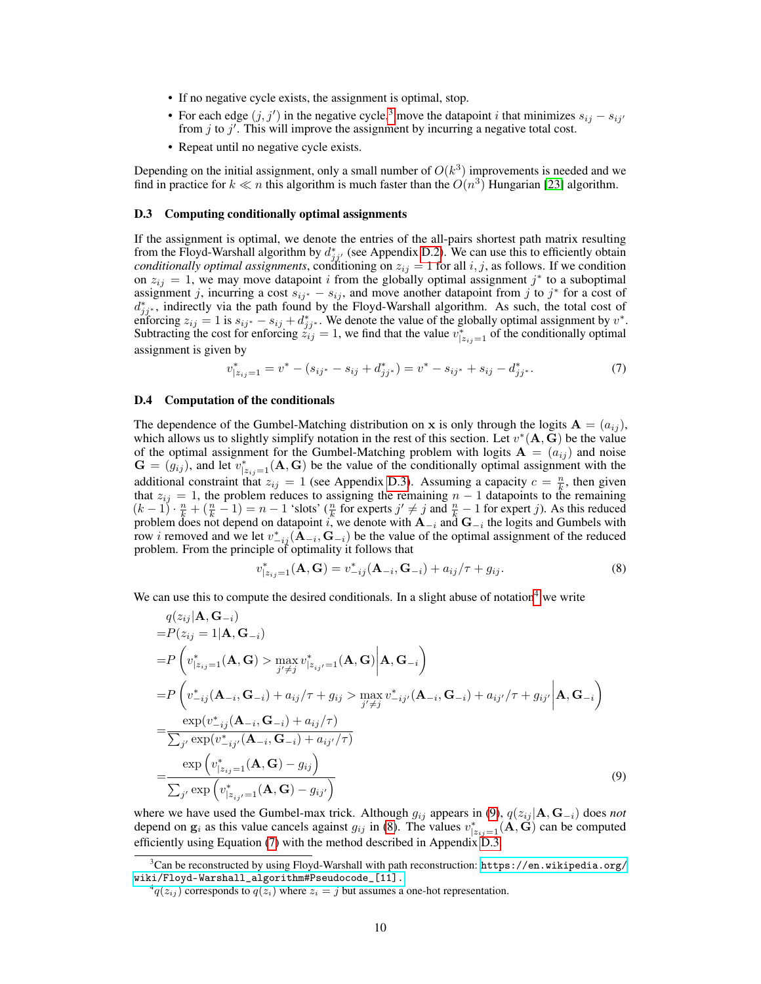- If no negative cycle exists, the assignment is optimal, stop.
- For each edge  $(j, j')$  in the negative cycle,<sup>[3](#page-9-1)</sup> move the datapoint *i* that minimizes  $s_{ij} s_{ij'}$ from  $j$  to  $j'$ . This will improve the assignment by incurring a negative total cost.
- Repeat until no negative cycle exists.

Depending on the initial assignment, only a small number of  $O(k^3)$  improvements is needed and we find in practice for  $k \ll n$  this algorithm is much faster than the  $O(n^3)$  Hungarian [\[23\]](#page-5-6) algorithm.

### <span id="page-9-2"></span>D.3 Computing conditionally optimal assignments

If the assignment is optimal, we denote the entries of the all-pairs shortest path matrix resulting from the Floyd-Warshall algorithm by  $d_{jj'}^*$  (see Appendix [D.2\)](#page-8-2). We can use this to efficiently obtain *conditionally optimal assignments*, conditioning on  $z_{ij} = 1$  for all  $i, j$ , as follows. If we condition on  $z_{ij} = 1$ , we may move datapoint i from the globally optimal assignment j<sup>\*</sup> to a suboptimal assignment j, incurring a cost  $s_{ij^*} - s_{ij}$ , and move another datapoint from j to j<sup>\*</sup> for a cost of  $d_{jj^*}^*$ , indirectly via the path found by the Floyd-Warshall algorithm. As such, the total cost of enforcing  $z_{ij} = 1$  is  $s_{ij} \cdot \frac{1}{2} s_{ij} + d^*_{jj} \cdot$ . We denote the value of the globally optimal assignment by  $v^*$ . Subtracting the cost for enforcing  $z_{ij}^j = 1$ , we find that the value  $v_{|z_{ij}=1}^*$  of the conditionally optimal assignment is given by

<span id="page-9-6"></span>
$$
v_{|z_{ij}=1}^* = v^* - (s_{ij^*} - s_{ij} + d_{jj^*}^*) = v^* - s_{ij^*} + s_{ij} - d_{jj^*}^*.
$$
 (7)

### <span id="page-9-0"></span>D.4 Computation of the conditionals

v

The dependence of the Gumbel-Matching distribution on x is only through the logits  $\mathbf{A} = (a_{ij})$ , which allows us to slightly simplify notation in the rest of this section. Let  $v^*(A, \bar{G})$  be the value of the optimal assignment for the Gumbel-Matching problem with logits  $A = (a_{ij})$  and noise  $\mathbf{G} = (g_{ij})$ , and let  $v_{|z_{ij}=1}^*(\mathbf{A}, \mathbf{G})$  be the value of the conditionally optimal assignment with the additional constraint that  $z_{ij} = 1$  (see Appendix [D.3\)](#page-9-2). Assuming a capacity  $c = \frac{n}{k}$ , then given that  $z_{ij} = 1$ , the problem reduces to assigning the remaining  $n - 1$  datapoints to the remaining  $n - 1$  $(k-1) \cdot \frac{n}{k} + (\frac{n}{k} - 1) = n - 1$  'slots'  $(\frac{n}{k}$  for experts  $j' \neq j$  and  $\frac{n}{k} - 1$  for expert j). As this reduced problem does not depend on datapoint i, we denote with  $\mathbf{A}_{-i}$  and  $\mathbf{G}_{-i}$  the logits and Gumbels with row *i* removed and we let  $v_{-ij}^*(\mathbf{A}_{-i}, \mathbf{G}_{-i})$  be the value of the optimal assignment of the reduced problem. From the principle of optimality it follows that

<span id="page-9-5"></span><span id="page-9-4"></span>
$$
{}_{|z_{ij}=1}^*(\mathbf{A}, \mathbf{G}) = v_{-ij}^*(\mathbf{A}_{-i}, \mathbf{G}_{-i}) + a_{ij}/\tau + g_{ij}.
$$
\n(8)

We can use this to compute the desired conditionals. In a slight abuse of notation<sup>[4](#page-9-3)</sup> we write

$$
q(z_{ij}|\mathbf{A}, \mathbf{G}_{-i})
$$
  
\n
$$
= P(z_{ij} = 1|\mathbf{A}, \mathbf{G}_{-i})
$$
  
\n
$$
= P\left(v_{|z_{ij}=1}^{*}(\mathbf{A}, \mathbf{G}) > \max_{j' \neq j} v_{|z_{ij'}=1}^{*}(\mathbf{A}, \mathbf{G}) | \mathbf{A}, \mathbf{G}_{-i}\right)
$$
  
\n
$$
= P\left(v_{-ij}^{*}(\mathbf{A}_{-i}, \mathbf{G}_{-i}) + a_{ij}/\tau + g_{ij} > \max_{j' \neq j} v_{-ij'}^{*}(\mathbf{A}_{-i}, \mathbf{G}_{-i}) + a_{ij}/\tau + g_{ij'} | \mathbf{A}, \mathbf{G}_{-i}\right)
$$
  
\n
$$
= \frac{\exp(v_{-ij}^{*}(\mathbf{A}_{-i}, \mathbf{G}_{-i}) + a_{ij}/\tau)}{\sum_{j'} \exp(v_{-ij'}^{*}(\mathbf{A}_{-i}, \mathbf{G}_{-i}) + a_{ij}/\tau)}
$$
  
\n
$$
= \frac{\exp(v_{|z_{ij}=1}^{*}(\mathbf{A}, \mathbf{G}) - g_{ij})}{\sum_{j'} \exp(v_{|z_{ij}=1}^{*}(\mathbf{A}, \mathbf{G}) - g_{ij'})}
$$
(9)

where we have used the Gumbel-max trick. Although  $g_{ij}$  appears in [\(9\)](#page-9-4),  $q(z_{ij} | \mathbf{A}, \mathbf{G}_{-i})$  does *not* depend on  $g_i$  as this value cancels against  $g_{ij}$  in [\(8\)](#page-9-5). The values  $v^*_{|z_{ij}=1}(\overrightarrow{A}, \overrightarrow{G})$  can be computed efficiently using Equation [\(7\)](#page-9-6) with the method described in Appendix [D.3.](#page-9-2)

<span id="page-9-1"></span> $3$ Can be reconstructed by using Floyd-Warshall with path reconstruction: [https://en.wikipedia.org/](https://en.wikipedia.org/wiki/Floyd-Warshall_algorithm#Pseudocode_[11].) [wiki/Floyd-Warshall\\_algorithm#Pseudocode\\_\[11\].](https://en.wikipedia.org/wiki/Floyd-Warshall_algorithm#Pseudocode_[11].)

<span id="page-9-3"></span> ${}^4q(z_{ij})$  corresponds to  $q(z_i)$  where  $z_i = j$  but assumes a one-hot representation.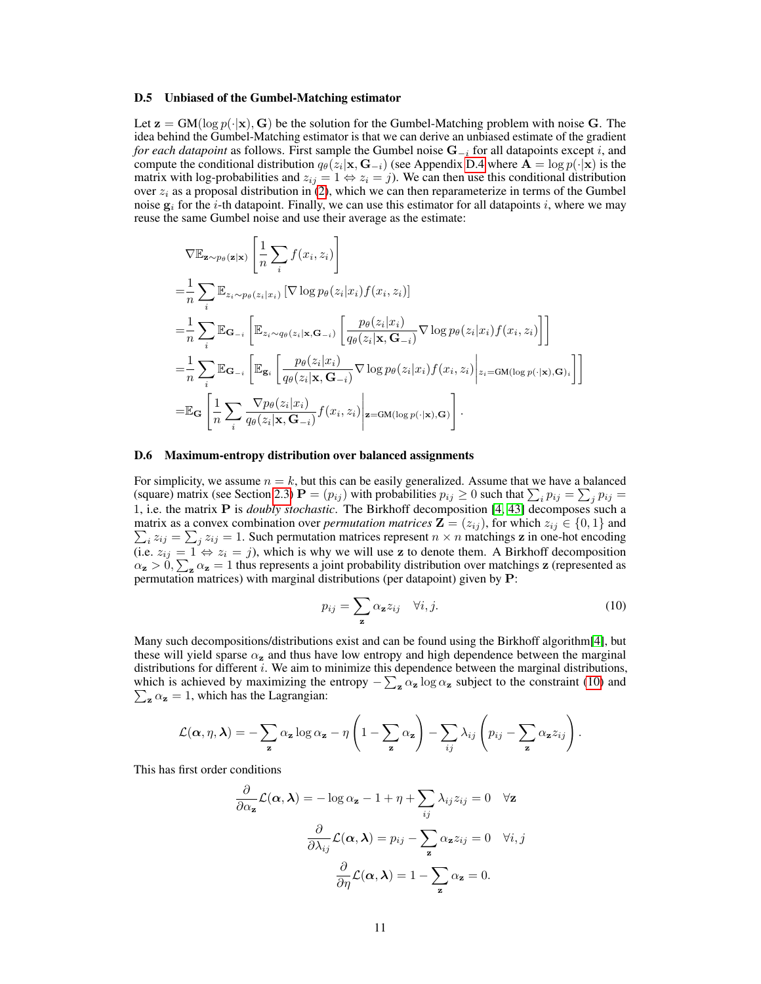#### <span id="page-10-0"></span>D.5 Unbiased of the Gumbel-Matching estimator

Let  $z = GM(\log p(\cdot|x), G)$  be the solution for the Gumbel-Matching problem with noise G. The idea behind the Gumbel-Matching estimator is that we can derive an unbiased estimate of the gradient *for each datapoint* as follows. First sample the Gumbel noise  $G_{-i}$  for all datapoints except i, and compute the conditional distribution  $q_{\theta}(z_i|\mathbf{x}, \mathbf{G}_{-i})$  (see Appendix [D.4](#page-9-0) where  $\mathbf{A} = \log p(\cdot|\mathbf{x})$  is the matrix with log-probabilities and  $z_{ij} = 1 \Leftrightarrow z_i = j$ ). We can then use this conditional distribution over  $z_i$  as a proposal distribution in [\(2\)](#page-1-1), which we can then reparameterize in terms of the Gumbel noise  $g_i$  for the *i*-th datapoint. Finally, we can use this estimator for all datapoints *i*, where we may reuse the same Gumbel noise and use their average as the estimate:

$$
\nabla \mathbb{E}_{\mathbf{z} \sim p_{\theta}(\mathbf{z}|\mathbf{x})} \left[ \frac{1}{n} \sum_{i} f(x_{i}, z_{i}) \right]
$$
\n
$$
= \frac{1}{n} \sum_{i} \mathbb{E}_{z_{i} \sim p_{\theta}(z_{i}|x_{i})} \left[ \nabla \log p_{\theta}(z_{i}|x_{i}) f(x_{i}, z_{i}) \right]
$$
\n
$$
= \frac{1}{n} \sum_{i} \mathbb{E}_{\mathbf{G}_{-i}} \left[ \mathbb{E}_{z_{i} \sim q_{\theta}(z_{i}|\mathbf{x}, \mathbf{G}_{-i})} \left[ \frac{p_{\theta}(z_{i}|x_{i})}{q_{\theta}(z_{i}|\mathbf{x}, \mathbf{G}_{-i})} \nabla \log p_{\theta}(z_{i}|x_{i}) f(x_{i}, z_{i}) \right] \right]
$$
\n
$$
= \frac{1}{n} \sum_{i} \mathbb{E}_{\mathbf{G}_{-i}} \left[ \mathbb{E}_{\mathbf{g}_{i}} \left[ \frac{p_{\theta}(z_{i}|x_{i})}{q_{\theta}(z_{i}|\mathbf{x}, \mathbf{G}_{-i})} \nabla \log p_{\theta}(z_{i}|x_{i}) f(x_{i}, z_{i}) \right| z_{i} = \text{GM}(\log p(\cdot|\mathbf{x}), \mathbf{G})_{i} \right]
$$
\n
$$
= \mathbb{E}_{\mathbf{G}} \left[ \frac{1}{n} \sum_{i} \frac{\nabla p_{\theta}(z_{i}|x_{i})}{q_{\theta}(z_{i}|\mathbf{x}, \mathbf{G}_{-i})} f(x_{i}, z_{i}) \right| \mathbf{z} = \text{GM}(\log p(\cdot|\mathbf{x}), \mathbf{G}) \right].
$$

### <span id="page-10-1"></span>D.6 Maximum-entropy distribution over balanced assignments

For simplicity, we assume  $n = k$ , but this can be easily generalized. Assume that we have a balanced (square) matrix (see Section [2.3\)](#page-2-1)  $P = (p_{ij})$  with probabilities  $p_{ij} \ge 0$  such that  $\sum_i p_{ij} = \sum_j p_{ij} =$ 1, i.e. the matrix P is *doubly stochastic*. The Birkhoff decomposition [\[4,](#page-4-2) [43\]](#page-6-9) decomposes such a matrix as a convex combination over *permutation matrices*  $\mathbf{Z} = (z_{ij})$ , for which  $z_{ij} \in \{0, 1\}$  and  $\sum_i z_{ij} = \sum_j z_{ij} = 1$ . Such permutation matrices represent  $n \times n$  matchings z in one-hot encoding (i.e.  $z_{ij} = 1 \Leftrightarrow z_i = j$ ), which is why we will use z to denote them. A Birkhoff decomposition  $\alpha_z > 0$ ,  $\sum_z \alpha_z = 1$  thus represents a joint probability distribution over matchings z (represented as permutation matrices) with marginal distributions (per datapoint) given by P:

<span id="page-10-2"></span>
$$
p_{ij} = \sum_{\mathbf{z}} \alpha_{\mathbf{z}} z_{ij} \quad \forall i, j.
$$
 (10)

Many such decompositions/distributions exist and can be found using the Birkhoff algorithm[\[4\]](#page-4-2), but these will yield sparse  $\alpha_{\mathbf{z}}$  and thus have low entropy and high dependence between the marginal distributions for different  $i$ . We aim to minimize this dependence between the marginal distributions, which is achieved by maximizing the entropy  $-\sum_{\mathbf{z}} \alpha_{\mathbf{z}} \log \alpha_{\mathbf{z}}$  subject to the constraint [\(10\)](#page-10-2) and  $\sum_{\mathbf{z}} \alpha_{\mathbf{z}} = 1$ , which has the Lagrangian:  $\sum_{\mathbf{z}} \alpha_{\mathbf{z}} = 1$ , which has the Lagrangian:

$$
\mathcal{L}(\boldsymbol{\alpha}, \eta, \boldsymbol{\lambda}) = -\sum_{\mathbf{z}} \alpha_{\mathbf{z}} \log \alpha_{\mathbf{z}} - \eta \left( 1 - \sum_{\mathbf{z}} \alpha_{\mathbf{z}} \right) - \sum_{ij} \lambda_{ij} \left( p_{ij} - \sum_{\mathbf{z}} \alpha_{\mathbf{z}} z_{ij} \right).
$$

This has first order conditions

$$
\frac{\partial}{\partial \alpha_{\mathbf{z}}} \mathcal{L}(\alpha, \lambda) = -\log \alpha_{\mathbf{z}} - 1 + \eta + \sum_{ij} \lambda_{ij} z_{ij} = 0 \quad \forall \mathbf{z}
$$

$$
\frac{\partial}{\partial \lambda_{ij}} \mathcal{L}(\alpha, \lambda) = p_{ij} - \sum_{\mathbf{z}} \alpha_{\mathbf{z}} z_{ij} = 0 \quad \forall i, j
$$

$$
\frac{\partial}{\partial \eta} \mathcal{L}(\alpha, \lambda) = 1 - \sum_{\mathbf{z}} \alpha_{\mathbf{z}} = 0.
$$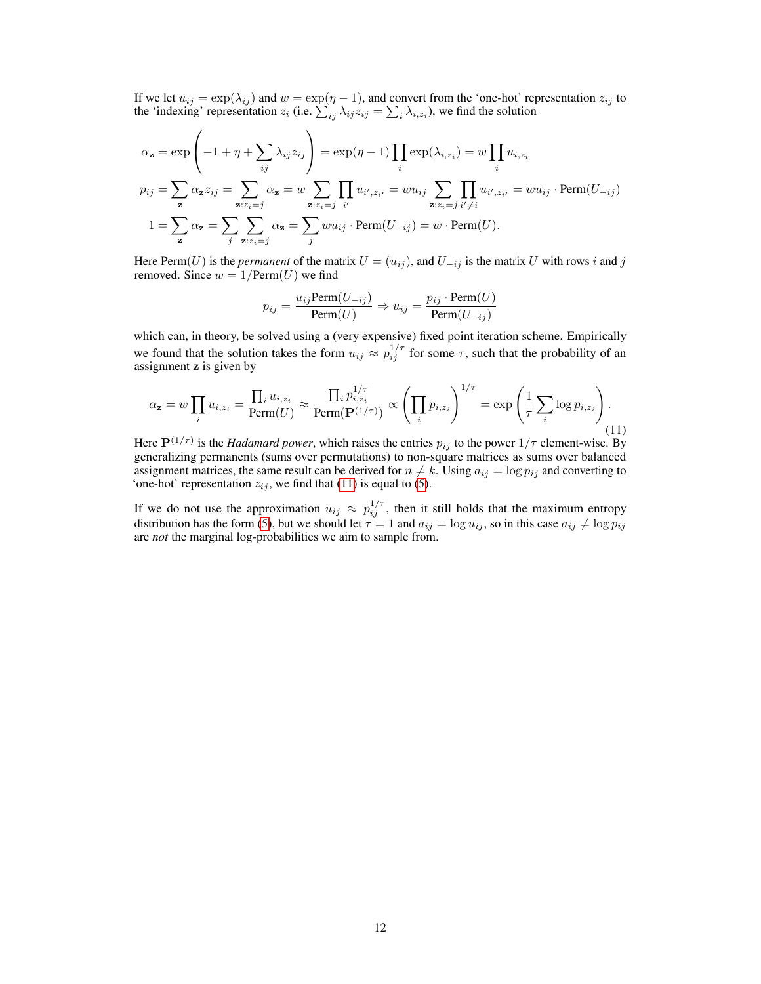If we let  $u_{ij} = \exp(\lambda_{ij})$  and  $w = \exp(\eta - 1)$ , and convert from the 'one-hot' representation  $z_{ij}$  to the 'indexing' representation  $z_i$  (i.e.  $\sum_{ij} \lambda_{ij} z_{ij} = \sum_i \lambda_{i,z_i}$ ), we find the solution

$$
\alpha_{\mathbf{z}} = \exp\left(-1 + \eta + \sum_{ij} \lambda_{ij} z_{ij}\right) = \exp(\eta - 1) \prod_{i} \exp(\lambda_{i,z_i}) = w \prod_{i} u_{i,z_i}
$$
  
\n
$$
p_{ij} = \sum_{\mathbf{z}} \alpha_{\mathbf{z}} z_{ij} = \sum_{\mathbf{z}:z_i=j} \alpha_{\mathbf{z}} = w \sum_{\mathbf{z}:z_i=j} \prod_{i'} u_{i',z_{i'}} = w u_{ij} \sum_{\mathbf{z}:z_i=j} \prod_{i'\neq i} u_{i',z_{i'}} = w u_{ij} \cdot \text{Perm}(U_{-ij})
$$
  
\n
$$
1 = \sum_{\mathbf{z}} \alpha_{\mathbf{z}} = \sum_{j} \sum_{\mathbf{z}:z_i=j} \alpha_{\mathbf{z}} = \sum_{j} w u_{ij} \cdot \text{Perm}(U_{-ij}) = w \cdot \text{Perm}(U).
$$

Here Perm(U) is the *permanent* of the matrix  $U = (u_{ij})$ , and  $U_{-ij}$  is the matrix U with rows i and j removed. Since  $w = 1/\text{Perm}(U)$  we find

<span id="page-11-0"></span>
$$
p_{ij} = \frac{u_{ij} \text{Perm}(U_{-ij})}{\text{Perm}(U)} \Rightarrow u_{ij} = \frac{p_{ij} \cdot \text{Perm}(U)}{\text{Perm}(U_{-ij})}
$$

which can, in theory, be solved using a (very expensive) fixed point iteration scheme. Empirically we found that the solution takes the form  $u_{ij} \approx p_{ij}^{1/\tau}$  for some  $\tau$ , such that the probability of an assignment z is given by

$$
\alpha_{\mathbf{z}} = w \prod_i u_{i,z_i} = \frac{\prod_i u_{i,z_i}}{\text{Perm}(U)} \approx \frac{\prod_i p_{i,z_i}^{1/\tau}}{\text{Perm}(\mathbf{P}^{(1/\tau)})} \propto \left(\prod_i p_{i,z_i}\right)^{1/\tau} = \exp\left(\frac{1}{\tau} \sum_i \log p_{i,z_i}\right). \tag{11}
$$

Here  $\mathbf{P}^{(1/\tau)}$  is the *Hadamard power*, which raises the entries  $p_{ij}$  to the power  $1/\tau$  element-wise. By generalizing permanents (sums over permutations) to non-square matrices as sums over balanced assignment matrices, the same result can be derived for  $n \neq k$ . Using  $a_{ij} = \log p_{ij}$  and converting to 'one-hot' representation  $z_{ij}$ , we find that [\(11\)](#page-11-0) is equal to [\(5\)](#page-2-2).

If we do not use the approximation  $u_{ij} \approx p_{ij}^{1/\tau}$ , then it still holds that the maximum entropy distribution has the form [\(5\)](#page-2-2), but we should let  $\tau = 1$  and  $a_{ij} = \log u_{ij}$ , so in this case  $a_{ij} \neq \log p_{ij}$ are *not* the marginal log-probabilities we aim to sample from.